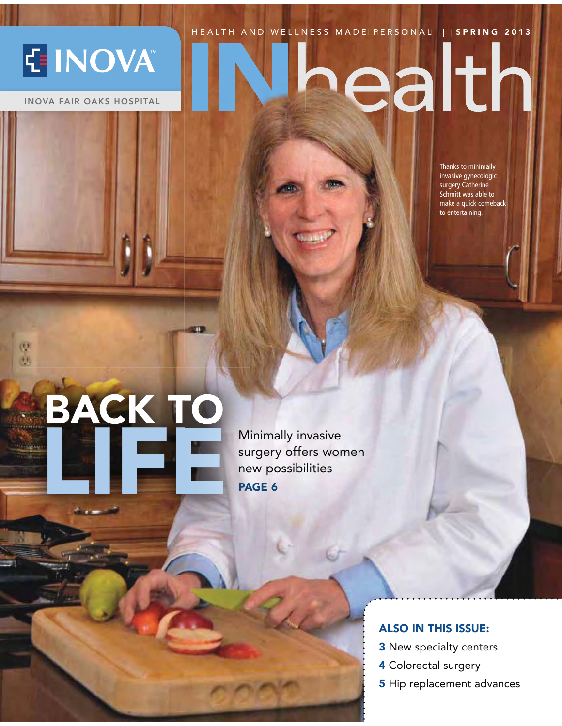HEALTH AND WELLNESS MADE PERSONAL | SPRING 2013

### E INOVA

 **INOVA FAIR OAKS HOSPITAL**

使 eb.

# ealth

Thanks to minimally<br>invasive gynecologic surgery Catherine Schmitt was able to make a quick comeback make a quick comeback.<br>to entertaining

## **BACK TO** Minimally invasive<br> **LIFE** Minimally invasive<br>
Ninimally invasive<br>
Ninimally invasive<br>
Ninimally invasive<br>
Ninimally invasive<br>
Ninimally invasive<br>
Ninimally invasive<br>
Ninimally invasive<br>
Ninimally invasive<br>
Ninimally invas

surgery offers women new possibilities **PAGE 6**

#### **ALSO IN THIS ISSUE:**

- **3** New specialty centers
- **4** Colorectal surgery
- **5** Hip replacement advances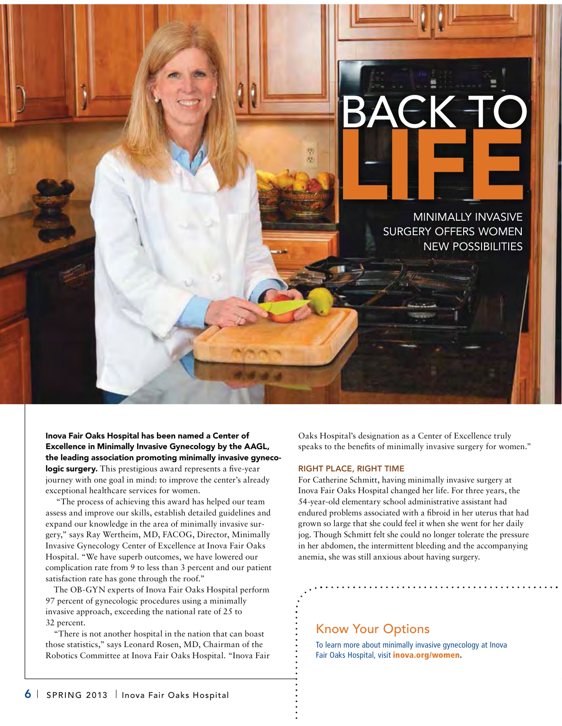

**Inova Fair Oaks Hospital has been named a Center of Excellence in Minimally Invasive Gynecology by the AAGL, the leading association promoting minimally invasive gynecologic surgery.** This prestigious award represents a five-year journey with one goal in mind: to improve the center's already exceptional healthcare services for women.

 "The process of achieving this award has helped our team assess and improve our skills, establish detailed guidelines and expand our knowledge in the area of minimally invasive surgery," says Ray Wertheim, MD, FACOG, Director, Minimally Invasive Gynecology Center of Excellence at Inova Fair Oaks Hospital. "We have superb outcomes, we have lowered our complication rate from 9 to less than 3 percent and our patient satisfaction rate has gone through the roof."

The OB-GYN experts of Inova Fair Oaks Hospital perform 97 percent of gynecologic procedures using a minimally invasive approach, exceeding the national rate of 25 to 32 percent.

"There is not another hospital in the nation that can boast those statistics," says Leonard Rosen, MD, Chairman of the Robotics Committee at Inova Fair Oaks Hospital. "Inova Fair Oaks Hospital's designation as a Center of Excellence truly speaks to the benefits of minimally invasive surgery for women."

#### **RIGHT PLACE, RIGHT TIME**

For Catherine Schmitt, having minimally invasive surgery at Inova Fair Oaks Hospital changed her life. For three years, the 54-year-old elementary school administrative assistant had endured problems associated with a fibroid in her uterus that had grown so large that she could feel it when she went for her daily jog. Though Schmitt felt she could no longer tolerate the pressure in her abdomen, the intermittent bleeding and the accompanying anemia, she was still anxious about having surgery.

#### Know Your Options

Foir Oaks Hospital wisit **inova org/women** Fair Oaks Hospital, visit **inova.org/women.**